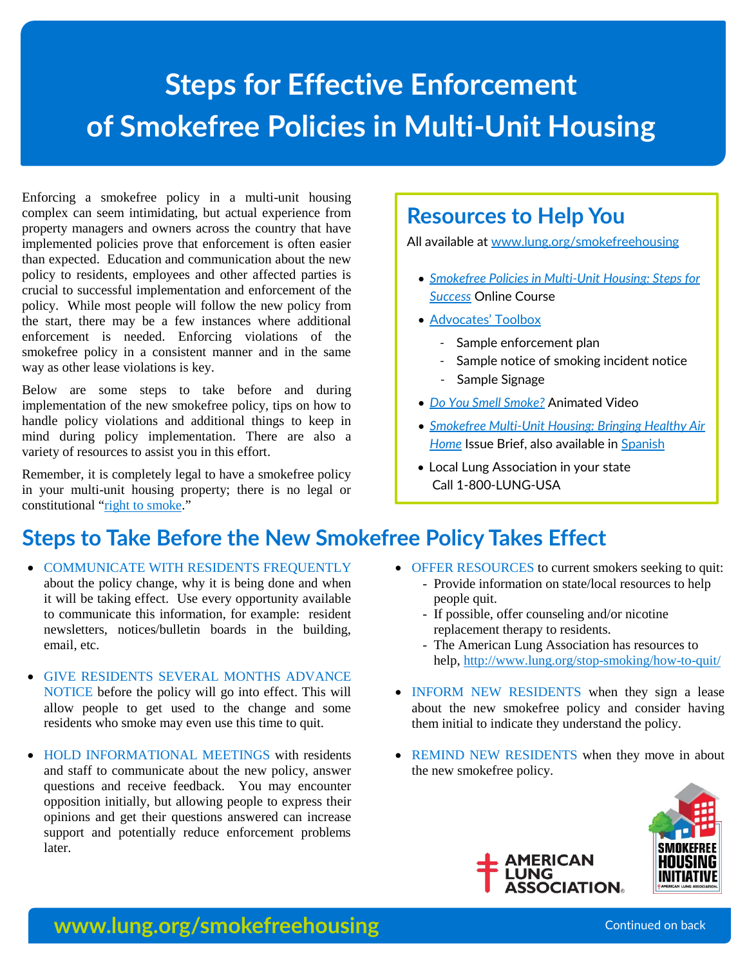# **Steps for Effective Enforcement of Smokefree Policies in Multi-Unit Housing**

Enforcing a smokefree policy in a multi-unit housing complex can seem intimidating, but actual experience from property managers and owners across the country that have implemented policies prove that enforcement is often easier than expected. Education and communication about the new policy to residents, employees and other affected parties is crucial to successful implementation and enforcement of the policy. While most people will follow the new policy from the start, there may be a few instances where additional enforcement is needed. Enforcing violations of the smokefree policy in a consistent manner and in the same way as other lease violations is key.

Below are some steps to take before and during implementation of the new smokefree policy, tips on how to handle policy violations and additional things to keep in mind during policy implementation. There are also a variety of resources to assist you in this effort.

Remember, it is completely legal to have a smokefree policy in your multi-unit housing property; there is no legal or constitutional "[right to smoke](http://publichealthlawcenter.org/sites/default/files/resources/tclc-syn-constitution-2008_0.pdf)."

#### **Resources to Help You**

All available a[t www.lung.org/smokefreehousing](http://www.lung.org/smokefreehousing)

- *[Smokefree Policies in Multi-Unit Housing: Steps for](http://www.lung.org/stop-smoking/about-smoking/smokefree-housing.html)  [Success](http://www.lung.org/stop-smoking/about-smoking/smokefree-housing.html)* Online Course
- [Advocates' Toolbox](http://www.lungusa2.org/Smokefree_housing/All-Advocates-Toolbox-Resources.zip)
	- Sample enforcement plan
	- Sample notice of smoking incident notice
	- Sample Signage
- *[Do You Smell Smoke?](https://www.youtube.com/watch?v=j21hKUAex7A)* Animated Video
- *[Smokefree Multi-Unit Housing: Bringing Healthy Air](http://www.lung.org/assets/documents/healthy-air/smuh-policy-brief-update.pdf)  [Home](http://www.lung.org/assets/documents/healthy-air/smuh-policy-brief-update.pdf)* Issue Brief, also available in [Spanish](http://www.lung.org/assets/documents/healthy-air/sfmuh-tc-brief-spanish_11-14-2012.pdf)
- Local Lung Association in your state Call 1-800-LUNG-USA

## **Steps to Take Before the New Smokefree Policy Takes Effect**

- **COMMUNICATE WITH RESIDENTS FREQUENTLY** about the policy change, why it is being done and when it will be taking effect. Use every opportunity available to communicate this information, for example: resident newsletters, notices/bulletin boards in the building, email, etc.
- GIVE RESIDENTS SEVERAL MONTHS ADVANCE NOTICE before the policy will go into effect. This will allow people to get used to the change and some residents who smoke may even use this time to quit.
- HOLD INFORMATIONAL MEETINGS with residents and staff to communicate about the new policy, answer questions and receive feedback. You may encounter opposition initially, but allowing people to express their opinions and get their questions answered can increase support and potentially reduce enforcement problems later.
- OFFER RESOURCES to current smokers seeking to quit: - Provide information on state/local resources to help
	- people quit.
	- If possible, offer counseling and/or nicotine replacement therapy to residents.
	- The American Lung Association has resources to help, <http://www.lung.org/stop-smoking/how-to-quit/>
- INFORM NEW RESIDENTS when they sign a lease about the new smokefree policy and consider having them initial to indicate they understand the policy.
- REMIND NEW RESIDENTS when they move in about the new smokefree policy.





#### **www.lung.org/smokefreehousing** Continued on back